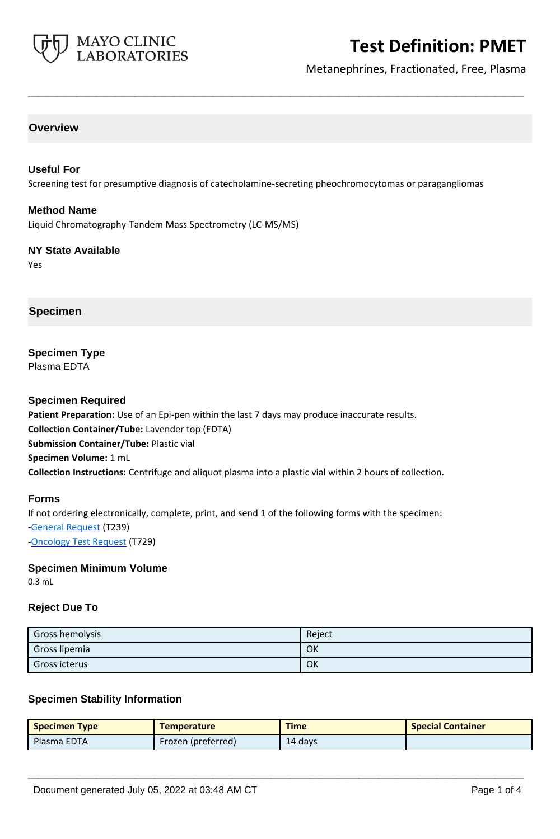

Metanephrines, Fractionated, Free, Plasma

#### **Overview**

#### **Useful For**

Screening test for presumptive diagnosis of catecholamine-secreting pheochromocytomas or paragangliomas

**\_\_\_\_\_\_\_\_\_\_\_\_\_\_\_\_\_\_\_\_\_\_\_\_\_\_\_\_\_\_\_\_\_\_\_\_\_\_\_\_\_\_\_\_\_\_\_\_\_\_\_**

#### **Method Name**

Liquid Chromatography-Tandem Mass Spectrometry (LC-MS/MS)

#### **NY State Available** Yes

#### **Specimen**

## **Specimen Type**

Plasma EDTA

#### **Specimen Required**

**Patient Preparation:** Use of an Epi-pen within the last 7 days may produce inaccurate results. **Collection Container/Tube:** Lavender top (EDTA) **Submission Container/Tube:** Plastic vial **Specimen Volume:** 1 mL **Collection Instructions:** Centrifuge and aliquot plasma into a plastic vial within 2 hours of collection.

#### **Forms**

If not ordering electronically, complete, print, and send 1 of the following forms with the specimen: [-General Request](https://www.mayocliniclabs.com/it-mmfiles/general-request-form.pdf) (T239) -**Oncology Test Request (T729)** 

#### **Specimen Minimum Volume**

0.3 mL

#### **Reject Due To**

| Gross hemolysis | Reject |
|-----------------|--------|
| Gross lipemia   | OK     |
| Gross icterus   | OK     |

#### **Specimen Stability Information**

| <b>Specimen Type</b> | <b>Temperature</b> | <b>Time</b> | <b>Special Container</b> |
|----------------------|--------------------|-------------|--------------------------|
| Plasma EDTA          | Frozen (preferred) | 14 days     |                          |

**\_\_\_\_\_\_\_\_\_\_\_\_\_\_\_\_\_\_\_\_\_\_\_\_\_\_\_\_\_\_\_\_\_\_\_\_\_\_\_\_\_\_\_\_\_\_\_\_\_\_\_**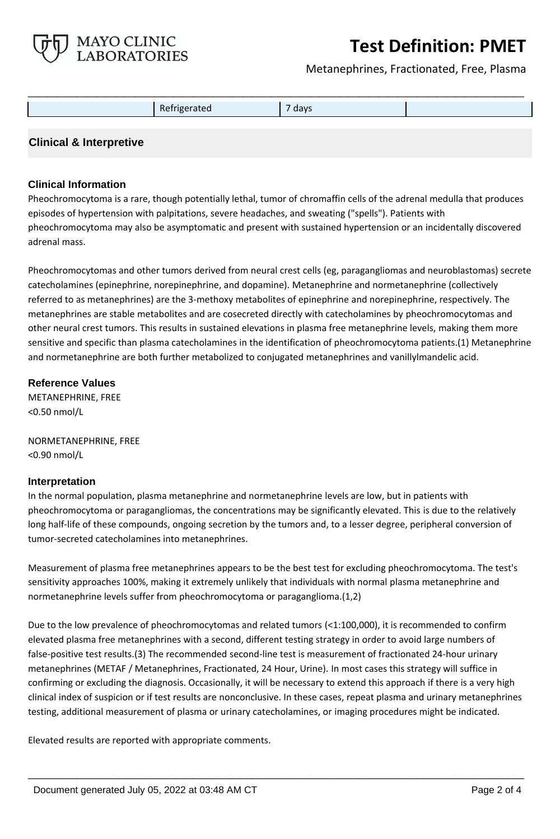

Metanephrines, Fractionated, Free, Plasma

|  | Refrigerated | -<br>days |  |
|--|--------------|-----------|--|

### **Clinical & Interpretive**

#### **Clinical Information**

Pheochromocytoma is a rare, though potentially lethal, tumor of chromaffin cells of the adrenal medulla that produces episodes of hypertension with palpitations, severe headaches, and sweating ("spells"). Patients with pheochromocytoma may also be asymptomatic and present with sustained hypertension or an incidentally discovered adrenal mass.

Pheochromocytomas and other tumors derived from neural crest cells (eg, paragangliomas and neuroblastomas) secrete catecholamines (epinephrine, norepinephrine, and dopamine). Metanephrine and normetanephrine (collectively referred to as metanephrines) are the 3-methoxy metabolites of epinephrine and norepinephrine, respectively. The metanephrines are stable metabolites and are cosecreted directly with catecholamines by pheochromocytomas and other neural crest tumors. This results in sustained elevations in plasma free metanephrine levels, making them more sensitive and specific than plasma catecholamines in the identification of pheochromocytoma patients.(1) Metanephrine and normetanephrine are both further metabolized to conjugated metanephrines and vanillylmandelic acid.

### **Reference Values**

METANEPHRINE, FREE <0.50 nmol/L

NORMETANEPHRINE, FREE <0.90 nmol/L

#### **Interpretation**

In the normal population, plasma metanephrine and normetanephrine levels are low, but in patients with pheochromocytoma or paragangliomas, the concentrations may be significantly elevated. This is due to the relatively long half-life of these compounds, ongoing secretion by the tumors and, to a lesser degree, peripheral conversion of tumor-secreted catecholamines into metanephrines.

Measurement of plasma free metanephrines appears to be the best test for excluding pheochromocytoma. The test's sensitivity approaches 100%, making it extremely unlikely that individuals with normal plasma metanephrine and normetanephrine levels suffer from pheochromocytoma or paraganglioma.(1,2)

Due to the low prevalence of pheochromocytomas and related tumors (<1:100,000), it is recommended to confirm elevated plasma free metanephrines with a second, different testing strategy in order to avoid large numbers of false-positive test results.(3) The recommended second-line test is measurement of fractionated 24-hour urinary metanephrines (METAF / Metanephrines, Fractionated, 24 Hour, Urine). In most cases this strategy will suffice in confirming or excluding the diagnosis. Occasionally, it will be necessary to extend this approach if there is a very high clinical index of suspicion or if test results are nonconclusive. In these cases, repeat plasma and urinary metanephrines testing, additional measurement of plasma or urinary catecholamines, or imaging procedures might be indicated.

**\_\_\_\_\_\_\_\_\_\_\_\_\_\_\_\_\_\_\_\_\_\_\_\_\_\_\_\_\_\_\_\_\_\_\_\_\_\_\_\_\_\_\_\_\_\_\_\_\_\_\_**

Elevated results are reported with appropriate comments.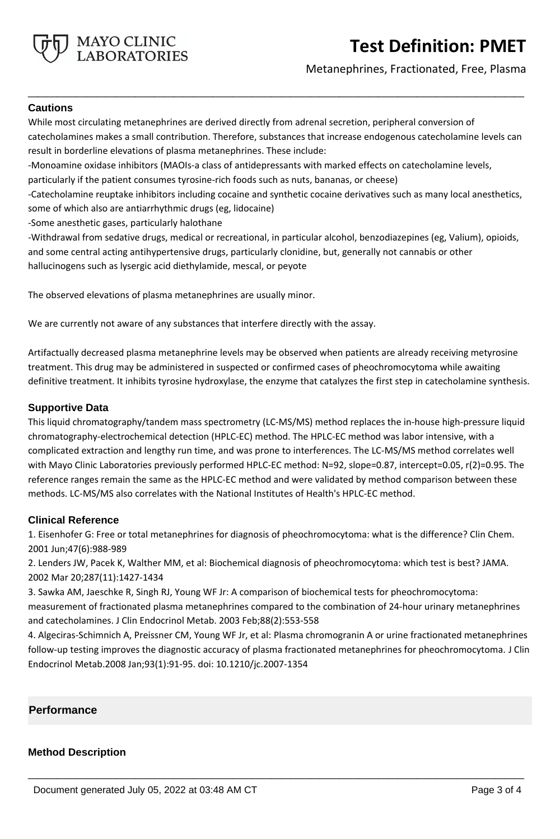

Metanephrines, Fractionated, Free, Plasma

#### **Cautions**

While most circulating metanephrines are derived directly from adrenal secretion, peripheral conversion of catecholamines makes a small contribution. Therefore, substances that increase endogenous catecholamine levels can result in borderline elevations of plasma metanephrines. These include:

**\_\_\_\_\_\_\_\_\_\_\_\_\_\_\_\_\_\_\_\_\_\_\_\_\_\_\_\_\_\_\_\_\_\_\_\_\_\_\_\_\_\_\_\_\_\_\_\_\_\_\_**

-Monoamine oxidase inhibitors (MAOIs-a class of antidepressants with marked effects on catecholamine levels,

particularly if the patient consumes tyrosine-rich foods such as nuts, bananas, or cheese)

-Catecholamine reuptake inhibitors including cocaine and synthetic cocaine derivatives such as many local anesthetics, some of which also are antiarrhythmic drugs (eg, lidocaine)

-Some anesthetic gases, particularly halothane

-Withdrawal from sedative drugs, medical or recreational, in particular alcohol, benzodiazepines (eg, Valium), opioids, and some central acting antihypertensive drugs, particularly clonidine, but, generally not cannabis or other hallucinogens such as lysergic acid diethylamide, mescal, or peyote

The observed elevations of plasma metanephrines are usually minor.

We are currently not aware of any substances that interfere directly with the assay.

Artifactually decreased plasma metanephrine levels may be observed when patients are already receiving metyrosine treatment. This drug may be administered in suspected or confirmed cases of pheochromocytoma while awaiting definitive treatment. It inhibits tyrosine hydroxylase, the enzyme that catalyzes the first step in catecholamine synthesis.

#### **Supportive Data**

This liquid chromatography/tandem mass spectrometry (LC-MS/MS) method replaces the in-house high-pressure liquid chromatography-electrochemical detection (HPLC-EC) method. The HPLC-EC method was labor intensive, with a complicated extraction and lengthy run time, and was prone to interferences. The LC-MS/MS method correlates well with Mayo Clinic Laboratories previously performed HPLC-EC method: N=92, slope=0.87, intercept=0.05, r(2)=0.95. The reference ranges remain the same as the HPLC-EC method and were validated by method comparison between these methods. LC-MS/MS also correlates with the National Institutes of Health's HPLC-EC method.

#### **Clinical Reference**

1. Eisenhofer G: Free or total metanephrines for diagnosis of pheochromocytoma: what is the difference? Clin Chem. 2001 Jun;47(6):988-989

2. Lenders JW, Pacek K, Walther MM, et al: Biochemical diagnosis of pheochromocytoma: which test is best? JAMA. 2002 Mar 20;287(11):1427-1434

3. Sawka AM, Jaeschke R, Singh RJ, Young WF Jr: A comparison of biochemical tests for pheochromocytoma: measurement of fractionated plasma metanephrines compared to the combination of 24-hour urinary metanephrines and catecholamines. J Clin Endocrinol Metab. 2003 Feb;88(2):553-558

4. Algeciras-Schimnich A, Preissner CM, Young WF Jr, et al: Plasma chromogranin A or urine fractionated metanephrines follow-up testing improves the diagnostic accuracy of plasma fractionated metanephrines for pheochromocytoma. J Clin Endocrinol Metab.2008 Jan;93(1):91-95. doi: 10.1210/jc.2007-1354

**\_\_\_\_\_\_\_\_\_\_\_\_\_\_\_\_\_\_\_\_\_\_\_\_\_\_\_\_\_\_\_\_\_\_\_\_\_\_\_\_\_\_\_\_\_\_\_\_\_\_\_**

#### **Performance**

#### **Method Description**